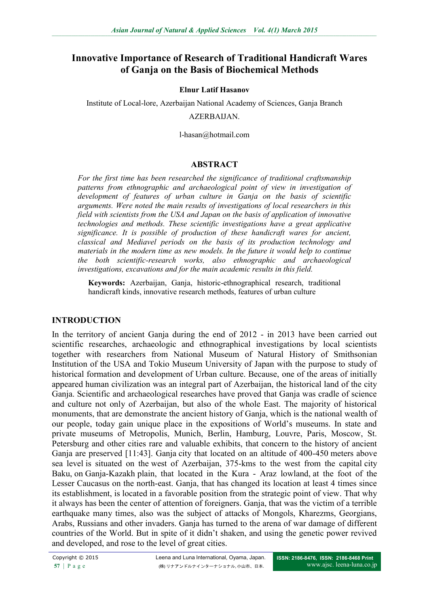# **Innovative Importance of Research of Traditional Handicraft Wares of Ganja on the Basis of Biochemical Methods**

#### **Elnur Latif Hasanov**

Institute of Local-lore, Azerbaijan National Academy of Sciences, Ganja Branch

#### AZERBAIJAN.

l-hasan@hotmail.com

### **ABSTRACT**

*For the first time has been researched the significance of traditional craftsmanship patterns from ethnographic and archaeological point of view in investigation of development of features of urban culture in Ganja on the basis of scientific arguments. Were noted the main results of investigations of local researchers in this field with scientists from the USA and Japan on the basis of application of innovative technologies and methods. These scientific investigations have a great applicative significance. It is possible of production of these handicraft wares for ancient, classical and Mediavel periods on the basis of its production technology and materials in the modern time as new models. In the future it would help to continue the both scientific-research works, also ethnographic and archaeological investigations, excavations and for the main academic results in this field.* 

**Keywords:** Azerbaijan, Ganja, historic-ethnographical research, traditional handicraft kinds, innovative research methods, features of urban culture

## **INTRODUCTION**

In the territory of ancient Ganja during the end of 2012 - in 2013 have been carried out scientific researches, archaeologic and ethnographical investigations by local scientists together with researchers from National Museum of Natural History of Smithsonian Institution of the USA and Tokio Museum University of Japan with the purpose to study of historical formation and development of Urban culture. Because, one of the areas of initially appeared human civilization was an integral part of Azerbaijan, the historical land of the city Ganja. Scientific and archaeological researches have proved that Ganja was cradle of science and culture not only of Azerbaijan, but also of the whole East. The majority of historical monuments, that are demonstrate the ancient history of Ganja, which is the national wealth of our people, today gain unique place in the expositions of World's museums. In state and private museums of Metropolis, Munich, Berlin, Hamburg, Louvre, Paris, Moscow, St. Petersburg and other cities rare and valuable exhibits, that concern to the history of ancient Ganja are preserved [11:43]. Ganja city that located on an altitude of 400-450 meters above sea level is situated on the west of Azerbaijan, 375-kms to the west from the capital city Baku, on Ganja-Kazakh plain, that located in the Kura - Araz lowland, at the foot of the Lesser Caucasus on the north-east. Ganja, that has changed its location at least 4 times since its establishment, is located in a favorable position from the strategic point of view. That why it always has been the center of attention of foreigners. Ganja, that was the victim of a terrible earthquake many times, also was the subject of attacks of Mongols, Kharezms, Georgians, Arabs, Russians and other invaders. Ganja has turned to the arena of war damage of different countries of the World. But in spite of it didn't shaken, and using the genetic power revived and developed, and rose to the level of great cities.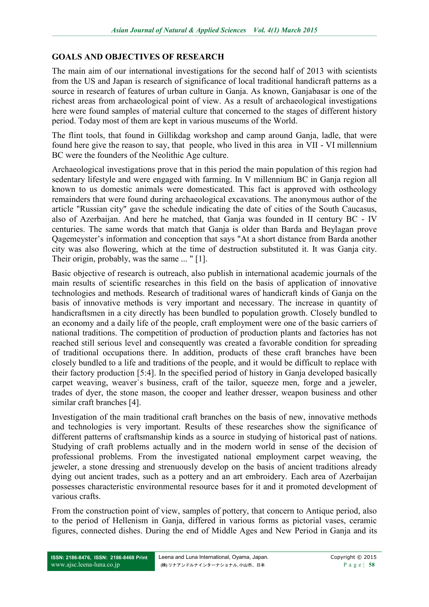# **GOALS AND OBJECTIVES OF RESEARCH**

The main aim of our international investigations for the second half of 2013 with scientists from the US and Japan is research of significance of local traditional handicraft patterns as a source in research of features of urban culture in Ganja. As known, Ganjabasar is one of the richest areas from archaeological point of view. As a result of archaeological investigations here were found samples of material culture that concerned to the stages of different history period. Today most of them are kept in various museums of the World.

The flint tools, that found in Gillikdag workshop and camp around Ganja, ladle, that were found here give the reason to say, that people, who lived in this area in VII - VI millennium BC were the founders of the Neolithic Age culture.

Archaeological investigations prove that in this period the main population of this region had sedentary lifestyle and were engaged with farming. In V millennium BC in Ganja region all known to us domestic animals were domesticated. This fact is approved with ostheology remainders that were found during archaeological excavations. The anonymous author of the article "Russian city" gave the schedule indicating the date of cities of the South Caucasus, also of Azerbaijan. And here he matched, that Ganja was founded in II century BC - IV centuries. The same words that match that Ganja is older than Barda and Beylagan prove Qagemeyster's information and conception that says "At a short distance from Barda another city was also flowering, which at the time of destruction substituted it. It was Ganja city. Their origin, probably, was the same ... " [1].

Basic objective of research is outreach, also publish in international academic journals of the main results of scientific researches in this field on the basis of application of innovative technologies and methods. Research of traditional wares of handicraft kinds of Ganja on the basis of innovative methods is very important and necessary. The increase in quantity of handicraftsmen in a city directly has been bundled to population growth. Closely bundled to an economy and a daily life of the people, craft employment were one of the basic carriers of national traditions. The competition of production of production plants and factories has not reached still serious level and consequently was created a favorable condition for spreading of traditional occupations there. In addition, products of these craft branches have been closely bundled to a life and traditions of the people, and it would be difficult to replace with their factory production [5:4]. In the specified period of history in Ganja developed basically carpet weaving, weaver`s business, craft of the tailor, squeeze men, forge and a jeweler, trades of dyer, the stone mason, the cooper and leather dresser, weapon business and other similar craft branches [4].

Investigation of the main traditional craft branches on the basis of new, innovative methods and technologies is very important. Results of these researches show the significance of different patterns of craftsmanship kinds as a source in studying of historical past of nations. Studying of craft problems actually and in the modern world in sense of the decision of professional problems. From the investigated national employment carpet weaving, the jeweler, a stone dressing and strenuously develop on the basis of ancient traditions already dying out ancient trades, such as a pottery and an art embroidery. Each area of Azerbaijan possesses characteristic environmental resource bases for it and it promoted development of various crafts.

From the construction point of view, samples of pottery, that concern to Antique period, also to the period of Hellenism in Ganja, differed in various forms as pictorial vases, ceramic figures, connected dishes. During the end of Middle Ages and New Period in Ganja and its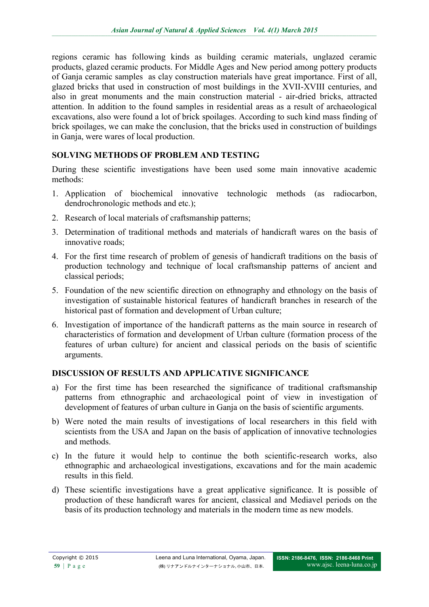regions ceramic has following kinds as building ceramic materials, unglazed ceramic products, glazed ceramic products. For Middle Ages and New period among pottery products of Ganja ceramic samples as clay construction materials have great importance. First of all, glazed bricks that used in construction of most buildings in the XVII-XVIII centuries, and also in great monuments and the main construction material - air-dried bricks, attracted attention. In addition to the found samples in residential areas as a result of archaeological excavations, also were found a lot of brick spoilages. According to such kind mass finding of brick spoilages, we can make the conclusion, that the bricks used in construction of buildings in Ganja, were wares of local production.

# **SOLVING METHODS OF PROBLEM AND TESTING**

During these scientific investigations have been used some main innovative academic methods:

- 1. Application of biochemical innovative technologic methods (as radiocarbon, dendrochronologic methods and etc.);
- 2. Research of local materials of craftsmanship patterns;
- 3. Determination of traditional methods and materials of handicraft wares on the basis of innovative roads;
- 4. For the first time research of problem of genesis of handicraft traditions on the basis of production technology and technique of local craftsmanship patterns of ancient and classical periods;
- 5. Foundation of the new scientific direction on ethnography and ethnology on the basis of investigation of sustainable historical features of handicraft branches in research of the historical past of formation and development of Urban culture;
- 6. Investigation of importance of the handicraft patterns as the main source in research of characteristics of formation and development of Urban culture (formation process of the features of urban culture) for ancient and classical periods on the basis of scientific arguments.

# **DISCUSSION OF RESULTS AND APPLICATIVE SIGNIFICANCE**

- a) For the first time has been researched the significance of traditional craftsmanship patterns from ethnographic and archaeological point of view in investigation of development of features of urban culture in Ganja on the basis of scientific arguments.
- b) Were noted the main results of investigations of local researchers in this field with scientists from the USA and Japan on the basis of application of innovative technologies and methods.
- c) In the future it would help to continue the both scientific-research works, also ethnographic and archaeological investigations, excavations and for the main academic results in this field.
- d) These scientific investigations have a great applicative significance. It is possible of production of these handicraft wares for ancient, classical and Mediavel periods on the basis of its production technology and materials in the modern time as new models.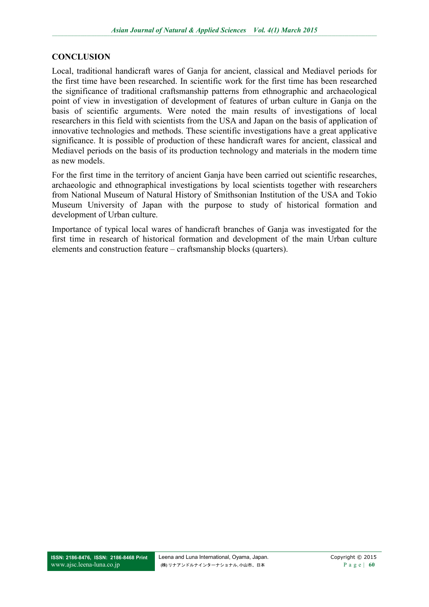## **CONCLUSION**

Local, traditional handicraft wares of Ganja for ancient, classical and Mediavel periods for the first time have been researched. In scientific work for the first time has been researched the significance of traditional craftsmanship patterns from ethnographic and archaeological point of view in investigation of development of features of urban culture in Ganja on the basis of scientific arguments. Were noted the main results of investigations of local researchers in this field with scientists from the USA and Japan on the basis of application of innovative technologies and methods. These scientific investigations have a great applicative significance. It is possible of production of these handicraft wares for ancient, classical and Mediavel periods on the basis of its production technology and materials in the modern time as new models.

For the first time in the territory of ancient Ganja have been carried out scientific researches, archaeologic and ethnographical investigations by local scientists together with researchers from National Museum of Natural History of Smithsonian Institution of the USA and Tokio Museum University of Japan with the purpose to study of historical formation and development of Urban culture.

Importance of typical local wares of handicraft branches of Ganja was investigated for the first time in research of historical formation and development of the main Urban culture elements and construction feature – craftsmanship blocks (quarters).